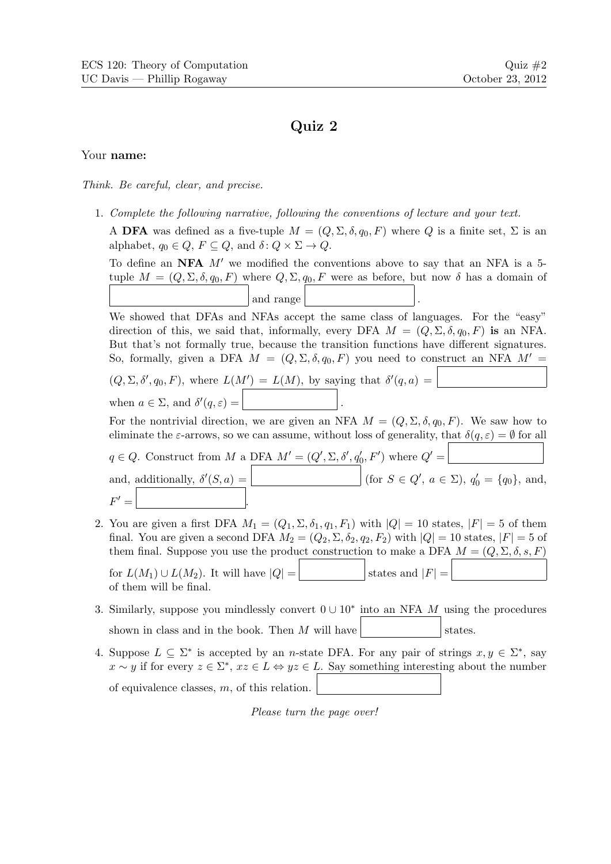## Quiz 2

## Your name:

Think. Be careful, clear, and precise.

1. Complete the following narrative, following the conventions of lecture and your text.

A DFA was defined as a five-tuple  $M = (Q, \Sigma, \delta, q_0, F)$  where Q is a finite set,  $\Sigma$  is an alphabet,  $q_0 \in Q$ ,  $F \subseteq Q$ , and  $\delta: Q \times \Sigma \to Q$ .

To define an NFA  $M'$  we modified the conventions above to say that an NFA is a 5tuple  $M = (Q, \Sigma, \delta, q_0, F)$  where  $Q, \Sigma, q_0, F$  were as before, but now  $\delta$  has a domain of and range

We showed that DFAs and NFAs accept the same class of languages. For the "easy" direction of this, we said that, informally, every DFA  $M = (Q, \Sigma, \delta, q_0, F)$  is an NFA. But that's not formally true, because the transition functions have different signatures. So, formally, given a DFA  $M = (Q, \Sigma, \delta, q_0, F)$  you need to construct an NFA  $M' =$ 

 $(Q, \Sigma, \delta', q_0, F)$ , where  $L(M') = L(M)$ , by saying that  $\delta'(q, a) =$ when  $a \in \Sigma$ , and  $\delta'(q, \varepsilon) =$  .

For the nontrivial direction, we are given an NFA  $M = (Q, \Sigma, \delta, q_0, F)$ . We saw how to eliminate the  $\varepsilon$ -arrows, so we can assume, without loss of generality, that  $\delta(q,\varepsilon) = \emptyset$  for all

 $q \in Q$ . Construct from M a DFA  $M' = (Q', \Sigma, \delta', q'_0, F')$  where  $Q' =$ and, additionally,  $\delta'(S, a) =$  (for  $S \in Q'$ ,  $a \in \Sigma$ ),  $q'_0 = \{q_0\}$ , and,  $F' =$  $\mathcal{O} =$  .

- 2. You are given a first DFA  $M_1 = (Q_1, \Sigma, \delta_1, q_1, F_1)$  with  $|Q| = 10$  states,  $|F| = 5$  of them final. You are given a second DFA  $M_2 = (Q_2, \Sigma, \delta_2, q_2, F_2)$  with  $|Q| = 10$  states,  $|F| = 5$  of them final. Suppose you use the product construction to make a DFA  $M = (Q, \Sigma, \delta, s, F)$ for  $L(M_1) \cup L(M_2)$ . It will have  $|Q| = \boxed{\qquad}$  states and  $|F| =$ of them will be final.
- 3. Similarly, suppose you mindlessly convert  $0 \cup 10^*$  into an NFA M using the procedures shown in class and in the book. Then M will have  $\vert$  states.
- 4. Suppose  $L \subseteq \Sigma^*$  is accepted by an *n*-state DFA. For any pair of strings  $x, y \in \Sigma^*$ , say  $x \sim y$  if for every  $z \in \Sigma^*$ ,  $xz \in L \Leftrightarrow yz \in L$ . Say something interesting about the number of equivalence classes, m, of this relation.

Please turn the page over!